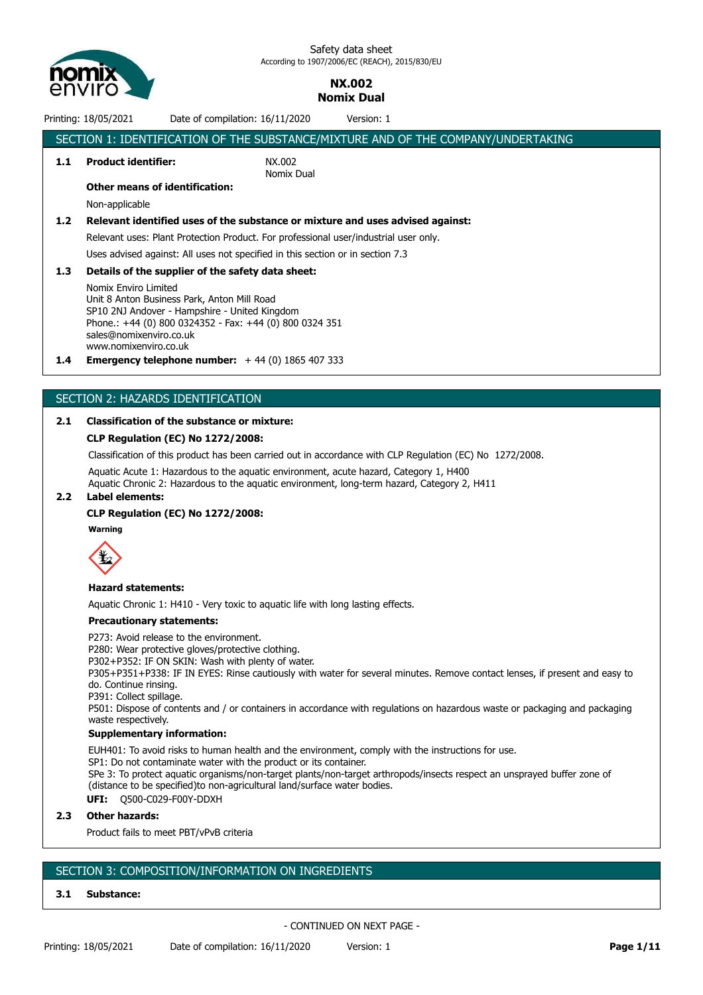

## **NX.002 Nomix Dual**

Printing: 18/05/2021 Date of compilation: 16/11/2020 Version: 1

|                  | SECTION 1: IDENTIFICATION OF THE SUBSTANCE/MIXTURE AND OF THE COMPANY/UNDERTAKING                                                                                                                                                   |                                                                                      |  |  |  |
|------------------|-------------------------------------------------------------------------------------------------------------------------------------------------------------------------------------------------------------------------------------|--------------------------------------------------------------------------------------|--|--|--|
| 1.1              | <b>Product identifier:</b>                                                                                                                                                                                                          | NX.002<br>Nomix Dual                                                                 |  |  |  |
|                  | <b>Other means of identification:</b>                                                                                                                                                                                               |                                                                                      |  |  |  |
|                  | Non-applicable                                                                                                                                                                                                                      |                                                                                      |  |  |  |
| 1.2              |                                                                                                                                                                                                                                     | Relevant identified uses of the substance or mixture and uses advised against:       |  |  |  |
|                  |                                                                                                                                                                                                                                     | Relevant uses: Plant Protection Product. For professional user/industrial user only. |  |  |  |
|                  | Uses advised against: All uses not specified in this section or in section 7.3                                                                                                                                                      |                                                                                      |  |  |  |
| 1.3 <sub>2</sub> | Details of the supplier of the safety data sheet:                                                                                                                                                                                   |                                                                                      |  |  |  |
|                  | Nomix Enviro Limited<br>Unit 8 Anton Business Park, Anton Mill Road<br>SP10 2NJ Andover - Hampshire - United Kingdom<br>Phone.: +44 (0) 800 0324352 - Fax: +44 (0) 800 0324 351<br>sales@nomixenviro.co.uk<br>www.nomixenviro.co.uk |                                                                                      |  |  |  |

**1.4 Emergency telephone number:** + 44 (0) 1865 407 333

#### SECTION 2: HAZARDS IDENTIFICATION

#### **2.1 Classification of the substance or mixture:**

#### **CLP Regulation (EC) No 1272/2008:**

Classification of this product has been carried out in accordance with CLP Regulation (EC) No 1272/2008.

Aquatic Acute 1: Hazardous to the aquatic environment, acute hazard, Category 1, H400

Aquatic Chronic 2: Hazardous to the aquatic environment, long-term hazard, Category 2, H411 **2.2 Label elements:**

## **CLP Regulation (EC) No 1272/2008:**

**Warning**



#### **Hazard statements:**

Aquatic Chronic 1: H410 - Very toxic to aquatic life with long lasting effects.

#### **Precautionary statements:**

P273: Avoid release to the environment.

P280: Wear protective gloves/protective clothing.

P302+P352: IF ON SKIN: Wash with plenty of water.

P305+P351+P338: IF IN EYES: Rinse cautiously with water for several minutes. Remove contact lenses, if present and easy to do. Continue rinsing.

P391: Collect spillage.

P501: Dispose of contents and / or containers in accordance with regulations on hazardous waste or packaging and packaging waste respectively.

#### **Supplementary information:**

EUH401: To avoid risks to human health and the environment, comply with the instructions for use. SP1: Do not contaminate water with the product or its container. SPe 3: To protect aquatic organisms/non-target plants/non-target arthropods/insects respect an unsprayed buffer zone of (distance to be specified)to non-agricultural land/surface water bodies.

**UFI:** Q500-C029-F00Y-DDXH

#### **2.3 Other hazards:**

Product fails to meet PBT/vPvB criteria

### SECTION 3: COMPOSITION/INFORMATION ON INGREDIENTS

#### **3.1 Substance:**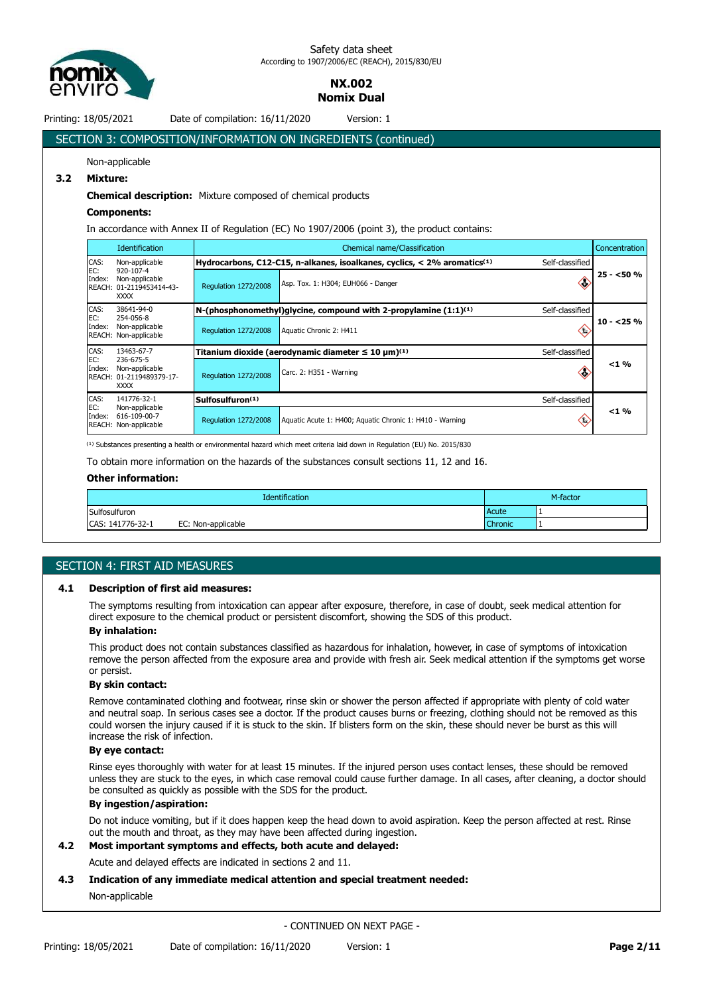

## **NX.002 Nomix Dual**

Printing: 18/05/2021 Date of compilation: 16/11/2020 Version: 1

# SECTION 3: COMPOSITION/INFORMATION ON INGREDIENTS (continued)

## Non-applicable

## **3.2 Mixture:**

#### **Chemical description:** Mixture composed of chemical products

#### **Components:**

In accordance with Annex II of Regulation (EC) No 1907/2006 (point 3), the product contains:

|                                                                                         | <b>Identification</b>                                                  |                                    | Chemical name/Classification                                                           |                 |            |  |  |
|-----------------------------------------------------------------------------------------|------------------------------------------------------------------------|------------------------------------|----------------------------------------------------------------------------------------|-----------------|------------|--|--|
| CAS:                                                                                    | Non-applicable                                                         |                                    | Hydrocarbons, C12-C15, n-alkanes, isoalkanes, cyclics, $<$ 2% aromatics <sup>(1)</sup> | Self-classified |            |  |  |
| EC:<br>920-107-4<br>Index:<br>Non-applicable<br>REACH: 01-2119453414-43-<br><b>XXXX</b> | <b>Requlation 1272/2008</b>                                            | Asp. Tox. 1: H304; EUH066 - Danger | сò.                                                                                    | $25 - 50%$      |            |  |  |
| CAS:                                                                                    | 38641-94-0                                                             |                                    | N-(phosphonomethyl)qlycine, compound with 2-propylamine $(1:1)^{(1)}$                  | Self-classified |            |  |  |
| EC:<br>Index:                                                                           | 254-056-8<br>Non-applicable<br>REACH: Non-applicable                   | Regulation 1272/2008               | Aquatic Chronic 2: H411                                                                | ⇔               | $10 - 25%$ |  |  |
| CAS:                                                                                    | 13463-67-7                                                             |                                    | Titanium dioxide (aerodynamic diameter $\leq 10 \ \mu m^{(1)}$                         | Self-classified |            |  |  |
| EC:<br>Index:                                                                           | 236-675-5<br>Non-applicable<br>REACH: 01-2119489379-17-<br><b>XXXX</b> | <b>Regulation 1272/2008</b>        | Carc. 2: H351 - Warning                                                                | сÞ.             | $< 1 \%$   |  |  |
| CAS:<br>141776-32-1<br>EC:<br>Non-applicable<br>Index:<br>REACH: Non-applicable         |                                                                        | Sulfosulfuron <sup>(1)</sup>       |                                                                                        | Self-classified |            |  |  |
|                                                                                         | 616-109-00-7                                                           | <b>Regulation 1272/2008</b>        | Aquatic Acute 1: H400; Aquatic Chronic 1: H410 - Warning                               | ⇔               | $< 1 \%$   |  |  |

<sup>(1)</sup> Substances presenting a health or environmental hazard which meet criteria laid down in Regulation (EU) No. 2015/830

To obtain more information on the hazards of the substances consult sections 11, 12 and 16.

#### **Other information:**

|                  | Identification     |                | M-factor |
|------------------|--------------------|----------------|----------|
| Sulfosulfuron    |                    | Acute          |          |
| CAS: 141776-32-1 | EC: Non-applicable | <b>Chronic</b> |          |

### SECTION 4: FIRST AID MEASURES

#### **4.1 Description of first aid measures:**

The symptoms resulting from intoxication can appear after exposure, therefore, in case of doubt, seek medical attention for direct exposure to the chemical product or persistent discomfort, showing the SDS of this product.

#### **By inhalation:**

This product does not contain substances classified as hazardous for inhalation, however, in case of symptoms of intoxication remove the person affected from the exposure area and provide with fresh air. Seek medical attention if the symptoms get worse or persist.

#### **By skin contact:**

Remove contaminated clothing and footwear, rinse skin or shower the person affected if appropriate with plenty of cold water and neutral soap. In serious cases see a doctor. If the product causes burns or freezing, clothing should not be removed as this could worsen the injury caused if it is stuck to the skin. If blisters form on the skin, these should never be burst as this will increase the risk of infection.

#### **By eye contact:**

Rinse eyes thoroughly with water for at least 15 minutes. If the injured person uses contact lenses, these should be removed unless they are stuck to the eyes, in which case removal could cause further damage. In all cases, after cleaning, a doctor should be consulted as quickly as possible with the SDS for the product.

#### **By ingestion/aspiration:**

Do not induce vomiting, but if it does happen keep the head down to avoid aspiration. Keep the person affected at rest. Rinse out the mouth and throat, as they may have been affected during ingestion.

## **4.2 Most important symptoms and effects, both acute and delayed:**

Acute and delayed effects are indicated in sections 2 and 11.

#### **4.3 Indication of any immediate medical attention and special treatment needed:**

#### Non-applicable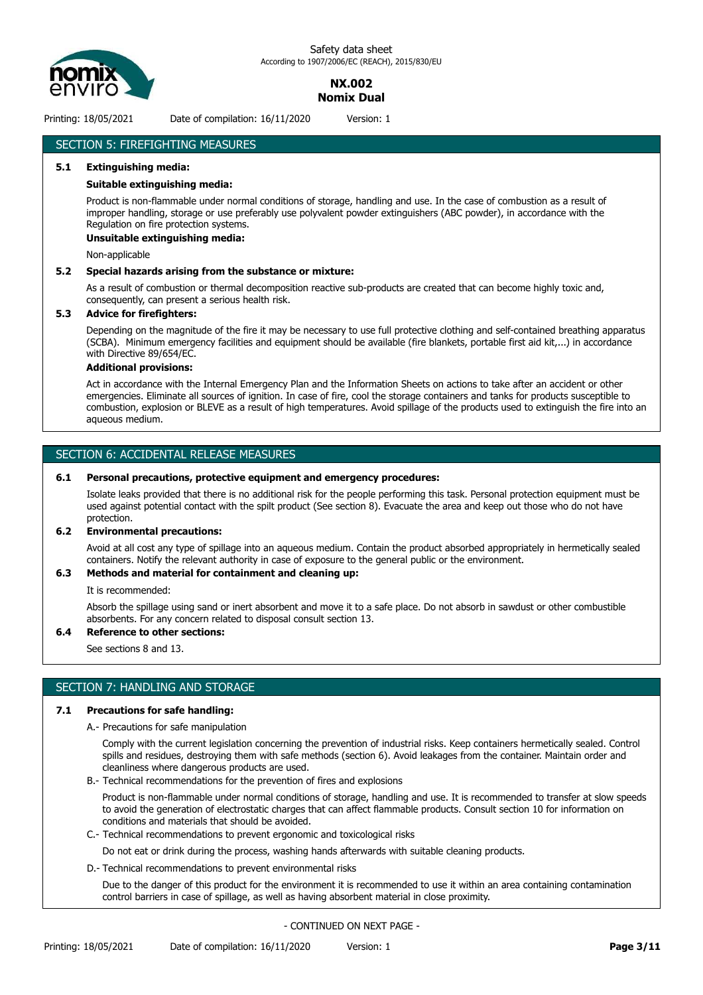

## **NX.002 Nomix Dual**

Printing: 18/05/2021 Date of compilation: 16/11/2020 Version: 1

## SECTION 5: FIREFIGHTING MEASURES

#### **5.1 Extinguishing media:**

#### **Suitable extinguishing media:**

Product is non-flammable under normal conditions of storage, handling and use. In the case of combustion as a result of improper handling, storage or use preferably use polyvalent powder extinguishers (ABC powder), in accordance with the Regulation on fire protection systems.

#### **Unsuitable extinguishing media:**

Non-applicable

#### **5.2 Special hazards arising from the substance or mixture:**

As a result of combustion or thermal decomposition reactive sub-products are created that can become highly toxic and, consequently, can present a serious health risk.

#### **5.3 Advice for firefighters:**

Depending on the magnitude of the fire it may be necessary to use full protective clothing and self-contained breathing apparatus (SCBA). Minimum emergency facilities and equipment should be available (fire blankets, portable first aid kit,...) in accordance with Directive 89/654/EC.

#### **Additional provisions:**

Act in accordance with the Internal Emergency Plan and the Information Sheets on actions to take after an accident or other emergencies. Eliminate all sources of ignition. In case of fire, cool the storage containers and tanks for products susceptible to combustion, explosion or BLEVE as a result of high temperatures. Avoid spillage of the products used to extinguish the fire into an aqueous medium.

#### SECTION 6: ACCIDENTAL RELEASE MEASURES

#### **6.1 Personal precautions, protective equipment and emergency procedures:**

Isolate leaks provided that there is no additional risk for the people performing this task. Personal protection equipment must be used against potential contact with the spilt product (See section 8). Evacuate the area and keep out those who do not have protection.

#### **6.2 Environmental precautions:**

Avoid at all cost any type of spillage into an aqueous medium. Contain the product absorbed appropriately in hermetically sealed containers. Notify the relevant authority in case of exposure to the general public or the environment.

#### **6.3 Methods and material for containment and cleaning up:**

It is recommended:

Absorb the spillage using sand or inert absorbent and move it to a safe place. Do not absorb in sawdust or other combustible absorbents. For any concern related to disposal consult section 13.

#### **6.4 Reference to other sections:**

See sections 8 and 13.

#### SECTION 7: HANDLING AND STORAGE

#### **7.1 Precautions for safe handling:**

A.- Precautions for safe manipulation

Comply with the current legislation concerning the prevention of industrial risks. Keep containers hermetically sealed. Control spills and residues, destroying them with safe methods (section 6). Avoid leakages from the container. Maintain order and cleanliness where dangerous products are used.

B.- Technical recommendations for the prevention of fires and explosions

Product is non-flammable under normal conditions of storage, handling and use. It is recommended to transfer at slow speeds to avoid the generation of electrostatic charges that can affect flammable products. Consult section 10 for information on conditions and materials that should be avoided.

C.- Technical recommendations to prevent ergonomic and toxicological risks

Do not eat or drink during the process, washing hands afterwards with suitable cleaning products.

D.- Technical recommendations to prevent environmental risks

Due to the danger of this product for the environment it is recommended to use it within an area containing contamination control barriers in case of spillage, as well as having absorbent material in close proximity.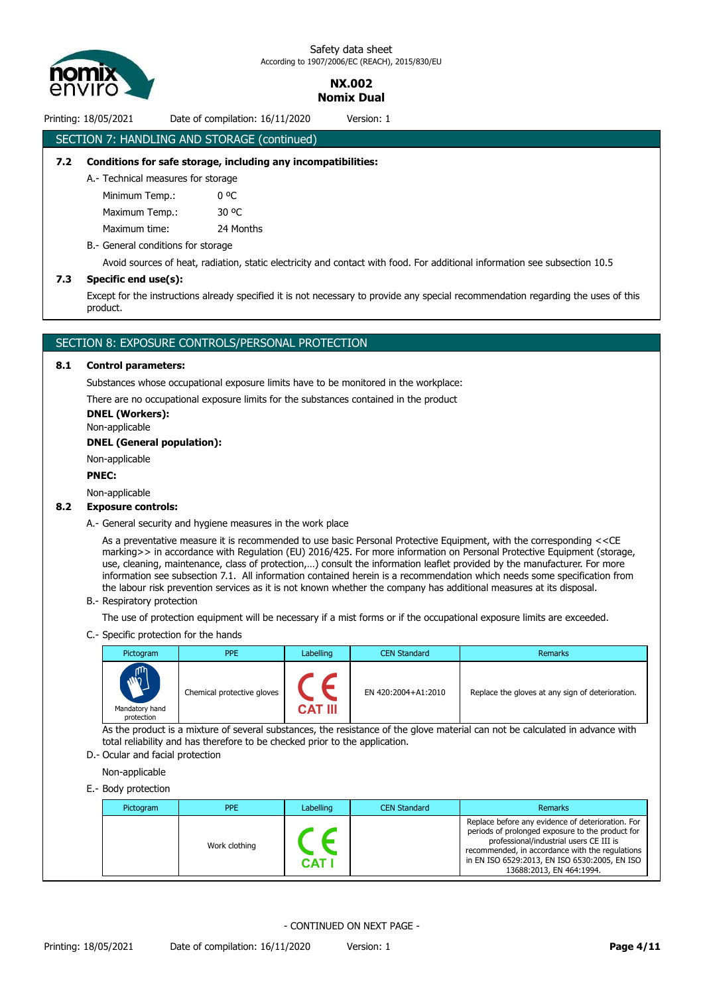

> **NX.002 Nomix Dual**

Printing: 18/05/2021 Date of compilation: 16/11/2020 Version: 1

### SECTION 7: HANDLING AND STORAGE (continued)

#### **7.2 Conditions for safe storage, including any incompatibilities:**

A.- Technical measures for storage

Minimum Temp.: 0 °C Maximum Temp.: 30 °C

Maximum time: 24 Months

#### B.- General conditions for storage

Avoid sources of heat, radiation, static electricity and contact with food. For additional information see subsection 10.5

#### **7.3 Specific end use(s):**

Except for the instructions already specified it is not necessary to provide any special recommendation regarding the uses of this product.

#### SECTION 8: EXPOSURE CONTROLS/PERSONAL PROTECTION

#### **8.1 Control parameters:**

Substances whose occupational exposure limits have to be monitored in the workplace:

There are no occupational exposure limits for the substances contained in the product

**DNEL (Workers):**

Non-applicable

**DNEL (General population):**

Non-applicable

#### **PNEC:**

Non-applicable

#### **8.2 Exposure controls:**

A.- General security and hygiene measures in the work place

As a preventative measure it is recommended to use basic Personal Protective Equipment, with the corresponding <<CE marking>> in accordance with Regulation (EU) 2016/425. For more information on Personal Protective Equipment (storage, use, cleaning, maintenance, class of protection,…) consult the information leaflet provided by the manufacturer. For more information see subsection 7.1. All information contained herein is a recommendation which needs some specification from the labour risk prevention services as it is not known whether the company has additional measures at its disposal.

B.- Respiratory protection

The use of protection equipment will be necessary if a mist forms or if the occupational exposure limits are exceeded.

C.- Specific protection for the hands

| Pictogram                                       | <b>PPE</b>                 | Labelling | <b>CEN Standard</b> | Remarks                                          |
|-------------------------------------------------|----------------------------|-----------|---------------------|--------------------------------------------------|
| <b>AND</b><br>Y<br>Mandatory hand<br>protection | Chemical protective gloves | CAT III   | EN 420:2004+A1:2010 | Replace the gloves at any sign of deterioration. |

As the product is a mixture of several substances, the resistance of the glove material can not be calculated in advance with total reliability and has therefore to be checked prior to the application.

D.- Ocular and facial protection

Non-applicable

E.- Body protection

| Pictogram | <b>PPE</b>    | Labelling | <b>CEN Standard</b> | Remarks                                                                                                                                                                                                                                                                          |
|-----------|---------------|-----------|---------------------|----------------------------------------------------------------------------------------------------------------------------------------------------------------------------------------------------------------------------------------------------------------------------------|
|           | Work clothing | CAT       |                     | Replace before any evidence of deterioration. For<br>periods of prolonged exposure to the product for<br>professional/industrial users CE III is<br>recommended, in accordance with the regulations<br>in EN ISO 6529:2013, EN ISO 6530:2005, EN ISO<br>13688:2013, EN 464:1994. |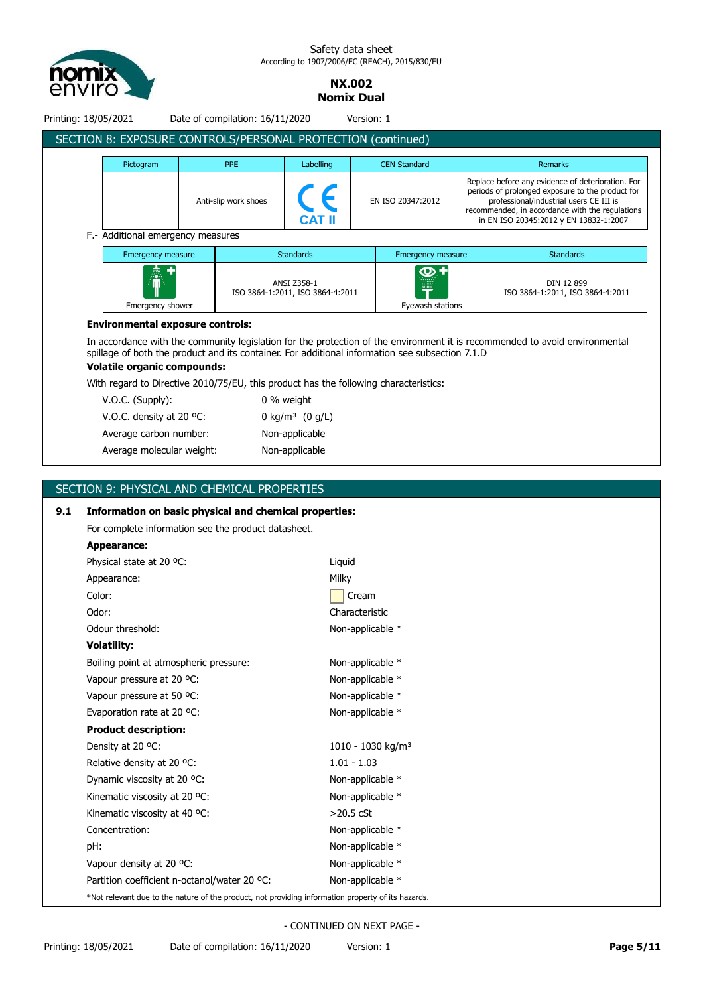

> **NX.002 Nomix Dual**

| Printing: 18/05/2021 |                                                                                                                              |  | Date of compilation: 16/11/2020 |                                                 | Version: 1 |                                                                                                 |  |                                                                                                                                                                                                                                               |
|----------------------|------------------------------------------------------------------------------------------------------------------------------|--|---------------------------------|-------------------------------------------------|------------|-------------------------------------------------------------------------------------------------|--|-----------------------------------------------------------------------------------------------------------------------------------------------------------------------------------------------------------------------------------------------|
|                      | SECTION 8: EXPOSURE CONTROLS/PERSONAL PROTECTION (continued)                                                                 |  |                                 |                                                 |            |                                                                                                 |  |                                                                                                                                                                                                                                               |
|                      | Pictogram                                                                                                                    |  | <b>PPE</b>                      | Labelling                                       |            | <b>CEN Standard</b>                                                                             |  | <b>Remarks</b>                                                                                                                                                                                                                                |
|                      |                                                                                                                              |  | Anti-slip work shoes            | <b>CAT II</b>                                   |            | EN ISO 20347:2012                                                                               |  | Replace before any evidence of deterioration. For<br>periods of prolonged exposure to the product for<br>professional/industrial users CE III is<br>recommended, in accordance with the regulations<br>in EN ISO 20345:2012 y EN 13832-1:2007 |
|                      | F.- Additional emergency measures                                                                                            |  |                                 |                                                 |            |                                                                                                 |  |                                                                                                                                                                                                                                               |
|                      | Emergency measure                                                                                                            |  |                                 | <b>Standards</b>                                |            | <b>Emergency measure</b>                                                                        |  | <b>Standards</b>                                                                                                                                                                                                                              |
|                      | Emergency shower                                                                                                             |  |                                 | ANSI Z358-1<br>ISO 3864-1:2011, ISO 3864-4:2011 |            | ဏ<br>Eyewash stations                                                                           |  | DIN 12 899<br>ISO 3864-1:2011, ISO 3864-4:2011                                                                                                                                                                                                |
|                      | <b>Environmental exposure controls:</b><br><b>Volatile organic compounds:</b>                                                |  |                                 |                                                 |            | spillage of both the product and its container. For additional information see subsection 7.1.D |  | In accordance with the community legislation for the protection of the environment it is recommended to avoid environmental                                                                                                                   |
|                      | With regard to Directive 2010/75/EU, this product has the following characteristics:                                         |  |                                 |                                                 |            |                                                                                                 |  |                                                                                                                                                                                                                                               |
|                      | V.O.C. (Supply):                                                                                                             |  |                                 | 0 % weight                                      |            |                                                                                                 |  |                                                                                                                                                                                                                                               |
|                      | V.O.C. density at 20 °C:                                                                                                     |  |                                 | 0 kg/m <sup>3</sup> (0 g/L)                     |            |                                                                                                 |  |                                                                                                                                                                                                                                               |
|                      | Average carbon number:                                                                                                       |  |                                 | Non-applicable                                  |            |                                                                                                 |  |                                                                                                                                                                                                                                               |
|                      | Average molecular weight:                                                                                                    |  |                                 | Non-applicable                                  |            |                                                                                                 |  |                                                                                                                                                                                                                                               |
|                      |                                                                                                                              |  |                                 |                                                 |            |                                                                                                 |  |                                                                                                                                                                                                                                               |
|                      | SECTION 9: PHYSICAL AND CHEMICAL PROPERTIES                                                                                  |  |                                 |                                                 |            |                                                                                                 |  |                                                                                                                                                                                                                                               |
| 9.1                  | Information on basic physical and chemical properties:<br>For complete information see the product datasheet.<br>Appearance: |  |                                 |                                                 |            |                                                                                                 |  |                                                                                                                                                                                                                                               |

| Appearance:                                                                                        |                               |
|----------------------------------------------------------------------------------------------------|-------------------------------|
| Physical state at 20 °C:                                                                           | Liquid                        |
| Appearance:                                                                                        | Milky                         |
| Color:                                                                                             | Cream                         |
| Odor:                                                                                              | Characteristic                |
| Odour threshold:                                                                                   | Non-applicable *              |
| <b>Volatility:</b>                                                                                 |                               |
| Boiling point at atmospheric pressure:                                                             | Non-applicable *              |
| Vapour pressure at 20 °C:                                                                          | Non-applicable *              |
| Vapour pressure at 50 °C:                                                                          | Non-applicable *              |
| Evaporation rate at 20 °C:                                                                         | Non-applicable *              |
| <b>Product description:</b>                                                                        |                               |
| Density at 20 °C:                                                                                  | 1010 - 1030 kg/m <sup>3</sup> |
| Relative density at 20 °C:                                                                         | $1.01 - 1.03$                 |
| Dynamic viscosity at 20 °C:                                                                        | Non-applicable *              |
| Kinematic viscosity at 20 °C:                                                                      | Non-applicable *              |
| Kinematic viscosity at 40 °C:                                                                      | $>20.5$ cSt                   |
| Concentration:                                                                                     | Non-applicable *              |
| pH:                                                                                                | Non-applicable *              |
| Vapour density at 20 °C:                                                                           | Non-applicable *              |
| Partition coefficient n-octanol/water 20 °C:                                                       | Non-applicable *              |
| *Not relevant due to the nature of the product, not providing information property of its hazards. |                               |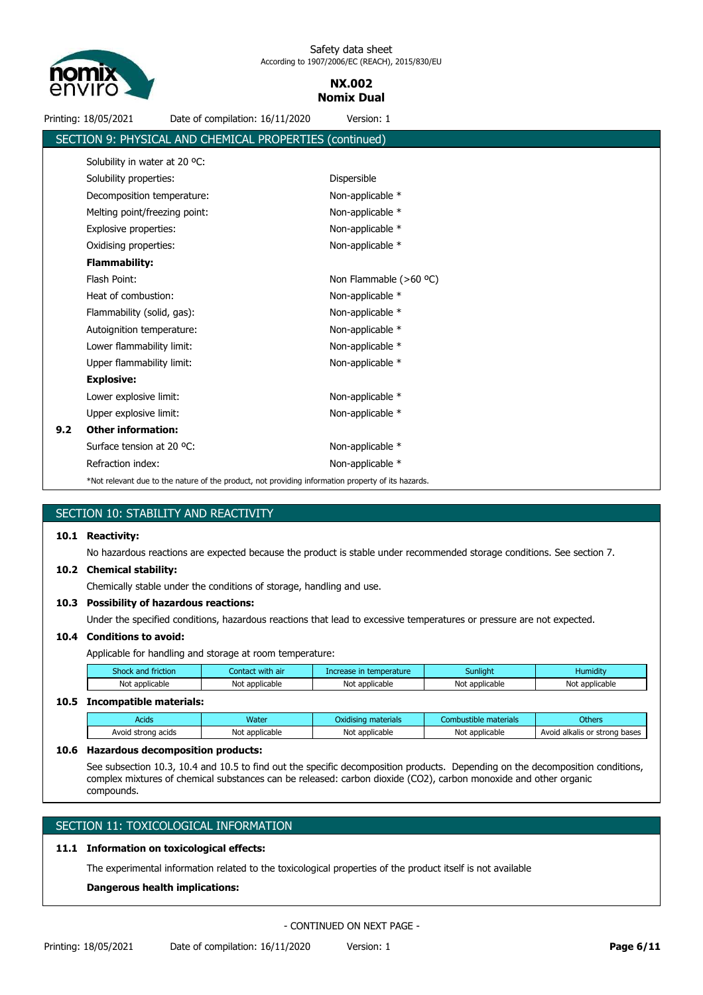

## **NX.002 Nomix Dual**

|      | Printing: 18/05/2021                     | Date of compilation: 16/11/2020                                                                                                                                                                                                                    | Version: 1              |                       |                               |
|------|------------------------------------------|----------------------------------------------------------------------------------------------------------------------------------------------------------------------------------------------------------------------------------------------------|-------------------------|-----------------------|-------------------------------|
|      |                                          | SECTION 9: PHYSICAL AND CHEMICAL PROPERTIES (continued)                                                                                                                                                                                            |                         |                       |                               |
|      | Solubility in water at 20 °C:            |                                                                                                                                                                                                                                                    |                         |                       |                               |
|      | Solubility properties:                   |                                                                                                                                                                                                                                                    | Dispersible             |                       |                               |
|      | Decomposition temperature:               |                                                                                                                                                                                                                                                    | Non-applicable *        |                       |                               |
|      | Melting point/freezing point:            |                                                                                                                                                                                                                                                    | Non-applicable *        |                       |                               |
|      | Explosive properties:                    |                                                                                                                                                                                                                                                    | Non-applicable *        |                       |                               |
|      | Oxidising properties:                    |                                                                                                                                                                                                                                                    | Non-applicable *        |                       |                               |
|      | <b>Flammability:</b>                     |                                                                                                                                                                                                                                                    |                         |                       |                               |
|      | Flash Point:                             |                                                                                                                                                                                                                                                    | Non Flammable (>60 °C)  |                       |                               |
|      | Heat of combustion:                      |                                                                                                                                                                                                                                                    |                         |                       |                               |
|      |                                          |                                                                                                                                                                                                                                                    | Non-applicable *        |                       |                               |
|      | Flammability (solid, gas):               |                                                                                                                                                                                                                                                    | Non-applicable *        |                       |                               |
|      | Autoignition temperature:                |                                                                                                                                                                                                                                                    | Non-applicable *        |                       |                               |
|      | Lower flammability limit:                |                                                                                                                                                                                                                                                    | Non-applicable *        |                       |                               |
|      | Upper flammability limit:                |                                                                                                                                                                                                                                                    | Non-applicable *        |                       |                               |
|      | <b>Explosive:</b>                        |                                                                                                                                                                                                                                                    |                         |                       |                               |
|      | Lower explosive limit:                   |                                                                                                                                                                                                                                                    | Non-applicable *        |                       |                               |
|      | Upper explosive limit:                   |                                                                                                                                                                                                                                                    | Non-applicable *        |                       |                               |
| 9.2  | <b>Other information:</b>                |                                                                                                                                                                                                                                                    |                         |                       |                               |
|      | Surface tension at 20 °C:                |                                                                                                                                                                                                                                                    | Non-applicable *        |                       |                               |
|      | Refraction index:                        |                                                                                                                                                                                                                                                    | Non-applicable *        |                       |                               |
|      |                                          | *Not relevant due to the nature of the product, not providing information property of its hazards.                                                                                                                                                 |                         |                       |                               |
|      |                                          |                                                                                                                                                                                                                                                    |                         |                       |                               |
|      | SECTION 10: STABILITY AND REACTIVITY     |                                                                                                                                                                                                                                                    |                         |                       |                               |
|      | 10.1 Reactivity:                         |                                                                                                                                                                                                                                                    |                         |                       |                               |
|      |                                          | No hazardous reactions are expected because the product is stable under recommended storage conditions. See section 7.                                                                                                                             |                         |                       |                               |
|      | 10.2 Chemical stability:                 |                                                                                                                                                                                                                                                    |                         |                       |                               |
|      |                                          | Chemically stable under the conditions of storage, handling and use.                                                                                                                                                                               |                         |                       |                               |
|      | 10.3 Possibility of hazardous reactions: |                                                                                                                                                                                                                                                    |                         |                       |                               |
|      |                                          | Under the specified conditions, hazardous reactions that lead to excessive temperatures or pressure are not expected.                                                                                                                              |                         |                       |                               |
|      | 10.4 Conditions to avoid:                |                                                                                                                                                                                                                                                    |                         |                       |                               |
|      |                                          | Applicable for handling and storage at room temperature:                                                                                                                                                                                           |                         |                       |                               |
|      | Shock and friction                       | Contact with air                                                                                                                                                                                                                                   | Increase in temperature | Sunlight              | Humidity                      |
|      | Not applicable                           | Not applicable                                                                                                                                                                                                                                     | Not applicable          | Not applicable        | Not applicable                |
| 10.5 | <b>Incompatible materials:</b>           |                                                                                                                                                                                                                                                    |                         |                       |                               |
|      | <b>Acids</b>                             | Water                                                                                                                                                                                                                                              | Oxidising materials     | Combustible materials | <b>Others</b>                 |
|      | Avoid strong acids                       | Not applicable                                                                                                                                                                                                                                     | Not applicable          | Not applicable        | Avoid alkalis or strong bases |
| 10.6 | <b>Hazardous decomposition products:</b> |                                                                                                                                                                                                                                                    |                         |                       |                               |
|      | compounds.                               | See subsection 10.3, 10.4 and 10.5 to find out the specific decomposition products. Depending on the decomposition conditions,<br>complex mixtures of chemical substances can be released: carbon dioxide (CO2), carbon monoxide and other organic |                         |                       |                               |
|      |                                          |                                                                                                                                                                                                                                                    |                         |                       |                               |
|      |                                          | SECTION 11: TOXICOLOGICAL INFORMATION                                                                                                                                                                                                              |                         |                       |                               |

## **11.1 Information on toxicological effects:**

The experimental information related to the toxicological properties of the product itself is not available

**Dangerous health implications:**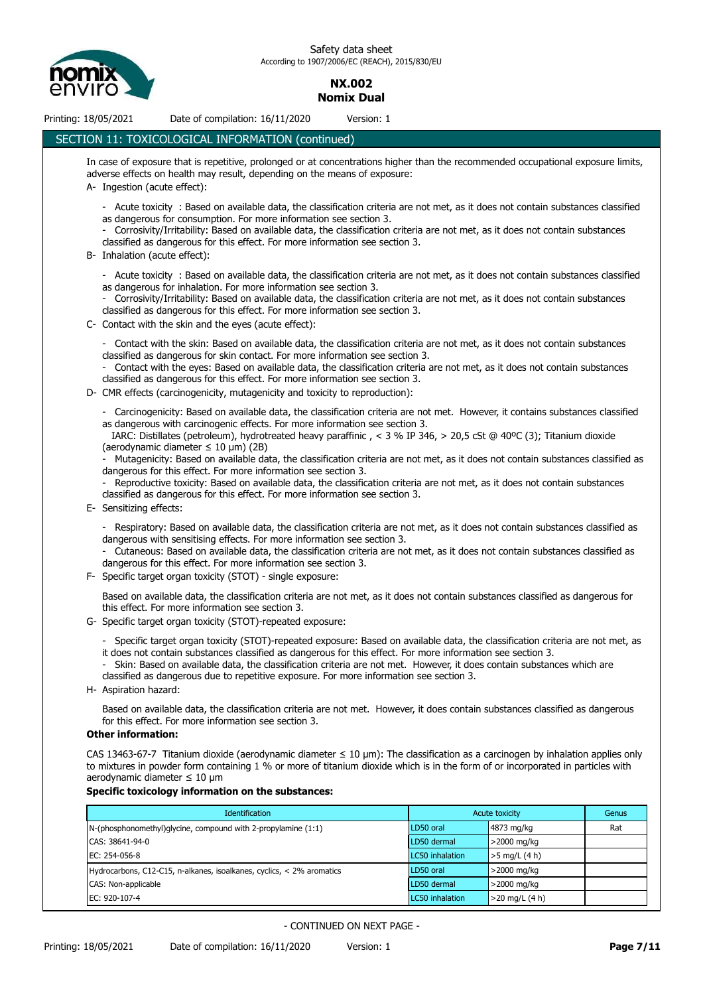

## **NX.002 Nomix Dual**

## Printing: 18/05/2021 Date of compilation: 16/11/2020 Version: 1

#### SECTION 11: TOXICOLOGICAL INFORMATION (continued)

In case of exposure that is repetitive, prolonged or at concentrations higher than the recommended occupational exposure limits, adverse effects on health may result, depending on the means of exposure:

- A- Ingestion (acute effect):
	- Acute toxicity : Based on available data, the classification criteria are not met, as it does not contain substances classified as dangerous for consumption. For more information see section 3.
	- Corrosivity/Irritability: Based on available data, the classification criteria are not met, as it does not contain substances classified as dangerous for this effect. For more information see section 3.
- B- Inhalation (acute effect):
	- Acute toxicity : Based on available data, the classification criteria are not met, as it does not contain substances classified as dangerous for inhalation. For more information see section 3.
	- Corrosivity/Irritability: Based on available data, the classification criteria are not met, as it does not contain substances classified as dangerous for this effect. For more information see section 3.
- C- Contact with the skin and the eyes (acute effect):
	- Contact with the skin: Based on available data, the classification criteria are not met, as it does not contain substances classified as dangerous for skin contact. For more information see section 3.
	- Contact with the eyes: Based on available data, the classification criteria are not met, as it does not contain substances classified as dangerous for this effect. For more information see section 3.
- D- CMR effects (carcinogenicity, mutagenicity and toxicity to reproduction):
	- Carcinogenicity: Based on available data, the classification criteria are not met. However, it contains substances classified as dangerous with carcinogenic effects. For more information see section 3.
	- IARC: Distillates (petroleum), hydrotreated heavy paraffinic , < 3 % IP 346, > 20,5 cSt @ 40ºC (3); Titanium dioxide (aerodynamic diameter  $\leq 10 \text{ µm}$ ) (2B)
	- Mutagenicity: Based on available data, the classification criteria are not met, as it does not contain substances classified as dangerous for this effect. For more information see section 3.
	- Reproductive toxicity: Based on available data, the classification criteria are not met, as it does not contain substances classified as dangerous for this effect. For more information see section 3.
- E- Sensitizing effects:
	- Respiratory: Based on available data, the classification criteria are not met, as it does not contain substances classified as dangerous with sensitising effects. For more information see section 3.
	- Cutaneous: Based on available data, the classification criteria are not met, as it does not contain substances classified as dangerous for this effect. For more information see section 3.
- F- Specific target organ toxicity (STOT) single exposure:
	- Based on available data, the classification criteria are not met, as it does not contain substances classified as dangerous for this effect. For more information see section 3.
- G- Specific target organ toxicity (STOT)-repeated exposure:
	- Specific target organ toxicity (STOT)-repeated exposure: Based on available data, the classification criteria are not met, as it does not contain substances classified as dangerous for this effect. For more information see section 3.
	- Skin: Based on available data, the classification criteria are not met. However, it does contain substances which are classified as dangerous due to repetitive exposure. For more information see section 3.
- H- Aspiration hazard:

Based on available data, the classification criteria are not met. However, it does contain substances classified as dangerous for this effect. For more information see section 3.

#### **Other information:**

CAS 13463-67-7 Titanium dioxide (aerodynamic diameter ≤ 10 μm): The classification as a carcinogen by inhalation applies only to mixtures in powder form containing 1 % or more of titanium dioxide which is in the form of or incorporated in particles with aerodynamic diameter ≤ 10 μm

#### **Specific toxicology information on the substances:**

| <b>Identification</b>                                                   | Acute toxicity  | Genus            |     |
|-------------------------------------------------------------------------|-----------------|------------------|-----|
| N-(phosphonomethyl)glycine, compound with 2-propylamine (1:1)           | LD50 oral       | 4873 mg/kg       | Rat |
| CAS: 38641-94-0                                                         | LD50 dermal     | >2000 mg/kg      |     |
| EC: 254-056-8                                                           | LC50 inhalation | $>5$ mg/L (4 h)  |     |
| Hydrocarbons, C12-C15, n-alkanes, isoalkanes, cyclics, $<$ 2% aromatics | LD50 oral       | >2000 mg/kg      |     |
| CAS: Non-applicable                                                     | LD50 dermal     | >2000 mg/kg      |     |
| EC: 920-107-4                                                           | LC50 inhalation | $>20$ mg/L (4 h) |     |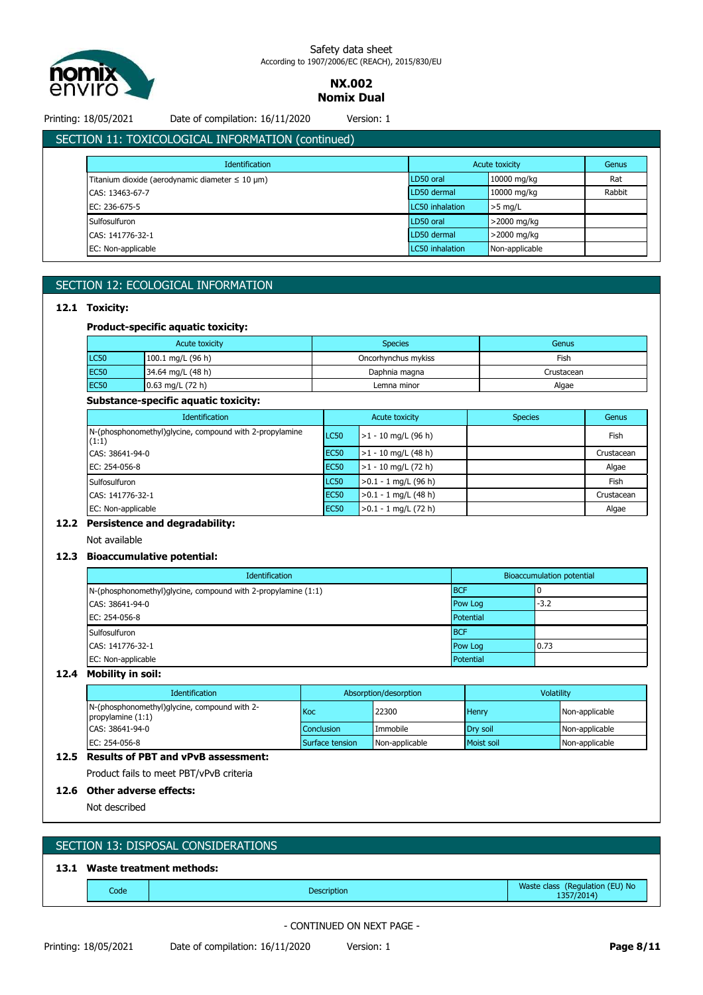

**NX.002 Nomix Dual**

Printing: 18/05/2021 Date of compilation: 16/11/2020 Version: 1

|  | LU/ 11/2020 |  | יוכו טי |
|--|-------------|--|---------|
|  |             |  |         |
|  |             |  |         |

| <b>Identification</b>                                    |                 | Acute toxicity | Genus  |
|----------------------------------------------------------|-----------------|----------------|--------|
| Titanium dioxide (aerodynamic diameter $\leq 10 \mu m$ ) | LD50 oral       | 10000 mg/kg    | Rat    |
| CAS: 13463-67-7                                          | LD50 dermal     | 10000 mg/kg    | Rabbit |
| EC: 236-675-5                                            | LC50 inhalation | $>5$ mg/L      |        |
| Sulfosulfuron                                            | LD50 oral       | >2000 mg/kg    |        |
| CAS: 141776-32-1                                         | LD50 dermal     | >2000 mg/kg    |        |
| EC: Non-applicable                                       | LC50 inhalation | Non-applicable |        |

## SECTION 12: ECOLOGICAL INFORMATION

#### **12.1 Toxicity:**

#### **Product-specific aquatic toxicity:**

| Acute toxicity |                    | <b>Species</b>      | Genus      |
|----------------|--------------------|---------------------|------------|
| <b>LC50</b>    | 100.1 mg/L (96 h)  | Oncorhynchus mykiss | Fish       |
| <b>EC50</b>    | 34.64 mg/L (48 h)  | Daphnia magna       | Crustacean |
| <b>EC50</b>    | $0.63$ mg/L (72 h) | Lemna minor         | Algae      |

#### **Substance-specific aquatic toxicity:**

| <b>Identification</b>                                            | Acute toxicity |                        | <b>Species</b> | Genus      |
|------------------------------------------------------------------|----------------|------------------------|----------------|------------|
| N-(phosphonomethyl)glycine, compound with 2-propylamine<br>(1:1) | <b>LC50</b>    | $>1 - 10$ mg/L (96 h)  |                | Fish       |
| CAS: 38641-94-0                                                  | <b>EC50</b>    | $>1 - 10$ mg/L (48 h)  |                | Crustacean |
| EC: 254-056-8                                                    | <b>EC50</b>    | $>1 - 10$ mg/L (72 h)  |                | Algae      |
| Sulfosulfuron                                                    | <b>LC50</b>    | $>0.1 - 1$ mg/L (96 h) |                | Fish       |
| CAS: 141776-32-1                                                 | <b>EC50</b>    | $>0.1 - 1$ mg/L (48 h) |                | Crustacean |
| EC: Non-applicable                                               | <b>EC50</b>    | $>0.1 - 1$ mg/L (72 h) |                | Algae      |

#### **12.2 Persistence and degradability:**

Not available

#### **12.3 Bioaccumulative potential:**

| Identification                                                | Bioaccumulation potential |        |  |
|---------------------------------------------------------------|---------------------------|--------|--|
| N-(phosphonomethyl)glycine, compound with 2-propylamine (1:1) | <b>BCF</b>                |        |  |
| CAS: 38641-94-0                                               | Pow Log                   | $-3.2$ |  |
| EC: 254-056-8                                                 | Potential                 |        |  |
| Sulfosulfuron                                                 | <b>BCF</b>                |        |  |
| CAS: 141776-32-1                                              | Pow Log                   | 0.73   |  |
| EC: Non-applicable                                            | Potential                 |        |  |

## **12.4 Mobility in soil:**

| <b>Identification</b>                                               |                 | Absorption/desorption | <b>Volatility</b> |                |
|---------------------------------------------------------------------|-----------------|-----------------------|-------------------|----------------|
| N-(phosphonomethyl)glycine, compound with 2-<br>propylamine $(1:1)$ | Koc             | 22300                 | Henry             | Non-applicable |
| CAS: 38641-94-0                                                     | Conclusion      | Immobile              | Drv soil          | Non-applicable |
| EC: 254-056-8                                                       | Surface tension | Non-applicable        | Moist soil        | Non-applicable |

## **12.5 Results of PBT and vPvB assessment:** Product fails to meet PBT/vPvB criteria

### **12.6 Other adverse effects:**

Not described

## SECTION 13: DISPOSAL CONSIDERATIONS **13.1 Waste treatment methods:** Code Description Waste class (Regulation (EU) No 1357/2014)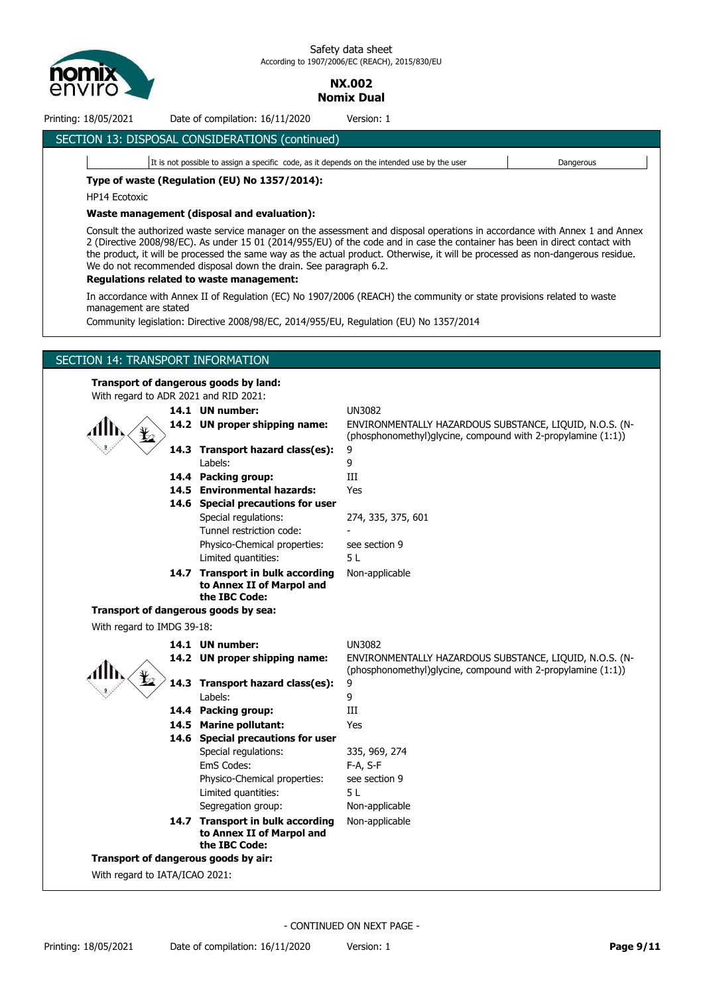

> **NX.002 Nomix Dual**

Printing: 18/05/2021 Date of compilation: 16/11/2020 Version: 1

## SECTION 13: DISPOSAL CONSIDERATIONS (continued)

It is not possible to assign a specific code, as it depends on the intended use by the user **Dangerous Type of waste (Regulation (EU) No 1357/2014):**

HP14 Ecotoxic

#### **Waste management (disposal and evaluation):**

Consult the authorized waste service manager on the assessment and disposal operations in accordance with Annex 1 and Annex 2 (Directive 2008/98/EC). As under 15 01 (2014/955/EU) of the code and in case the container has been in direct contact with the product, it will be processed the same way as the actual product. Otherwise, it will be processed as non-dangerous residue. We do not recommended disposal down the drain. See paragraph 6.2.

#### **Regulations related to waste management:**

In accordance with Annex II of Regulation (EC) No 1907/2006 (REACH) the community or state provisions related to waste management are stated

Community legislation: Directive 2008/98/EC, 2014/955/EU, Regulation (EU) No 1357/2014

## SECTION 14: TRANSPORT INFORMATION

#### **Transport of dangerous goods by land:**

With regard to AD



| With regard to ADR 2021 and RID 2021: |                                                                                |                                                                                                                         |
|---------------------------------------|--------------------------------------------------------------------------------|-------------------------------------------------------------------------------------------------------------------------|
|                                       | 14.1 UN number:                                                                | <b>UN3082</b>                                                                                                           |
|                                       | 14.2 UN proper shipping name:                                                  | ENVIRONMENTALLY HAZARDOUS SUBSTANCE, LIQUID, N.O.S. (N-<br>(phosphonomethyl)glycine, compound with 2-propylamine (1:1)) |
|                                       | 14.3 Transport hazard class(es):                                               | 9                                                                                                                       |
|                                       | Labels:                                                                        | 9                                                                                                                       |
|                                       | 14.4 Packing group:                                                            | III                                                                                                                     |
|                                       | 14.5 Environmental hazards:                                                    | Yes                                                                                                                     |
|                                       | 14.6 Special precautions for user                                              |                                                                                                                         |
|                                       | Special regulations:                                                           | 274, 335, 375, 601                                                                                                      |
|                                       | Tunnel restriction code:                                                       |                                                                                                                         |
|                                       | Physico-Chemical properties:                                                   | see section 9                                                                                                           |
|                                       | Limited quantities:                                                            | 5L                                                                                                                      |
|                                       | 14.7 Transport in bulk according<br>to Annex II of Marpol and<br>the IBC Code: | Non-applicable                                                                                                          |
|                                       | Transport of dangerous goods by sea:                                           |                                                                                                                         |
| With regard to IMDG 39-18:            |                                                                                |                                                                                                                         |
|                                       | 14.1 UN number:                                                                | <b>UN3082</b>                                                                                                           |
|                                       | 14.2 UN proper shipping name:                                                  | ENVIRONMENTALLY HAZARDOUS SUBSTANCE, LIQUID, N.O.S. (N-<br>(phosphonomethyl)glycine, compound with 2-propylamine (1:1)) |
|                                       | 14.3 Transport hazard class(es):                                               | 9                                                                                                                       |
|                                       | Labels:                                                                        | 9                                                                                                                       |
|                                       | 14.4 Packing group:                                                            | Ш                                                                                                                       |
|                                       | 14.5 Marine pollutant:                                                         | Yes                                                                                                                     |
|                                       | 14.6 Special precautions for user                                              |                                                                                                                         |
|                                       | Special regulations:                                                           | 335, 969, 274                                                                                                           |
|                                       | EmS Codes:                                                                     | $F-A, S-F$                                                                                                              |
|                                       | Physico-Chemical properties:                                                   | see section 9                                                                                                           |
|                                       | Limited quantities:                                                            | 5 L                                                                                                                     |
|                                       | Segregation group:                                                             | Non-applicable                                                                                                          |
|                                       | 14.7 Transport in bulk according<br>to Annex II of Marpol and                  | Non-applicable                                                                                                          |

**Transport of dangerous goods by air:**

With regard to IATA/ICAO 2021:

- CONTINUED ON NEXT PAGE -

**the IBC Code:**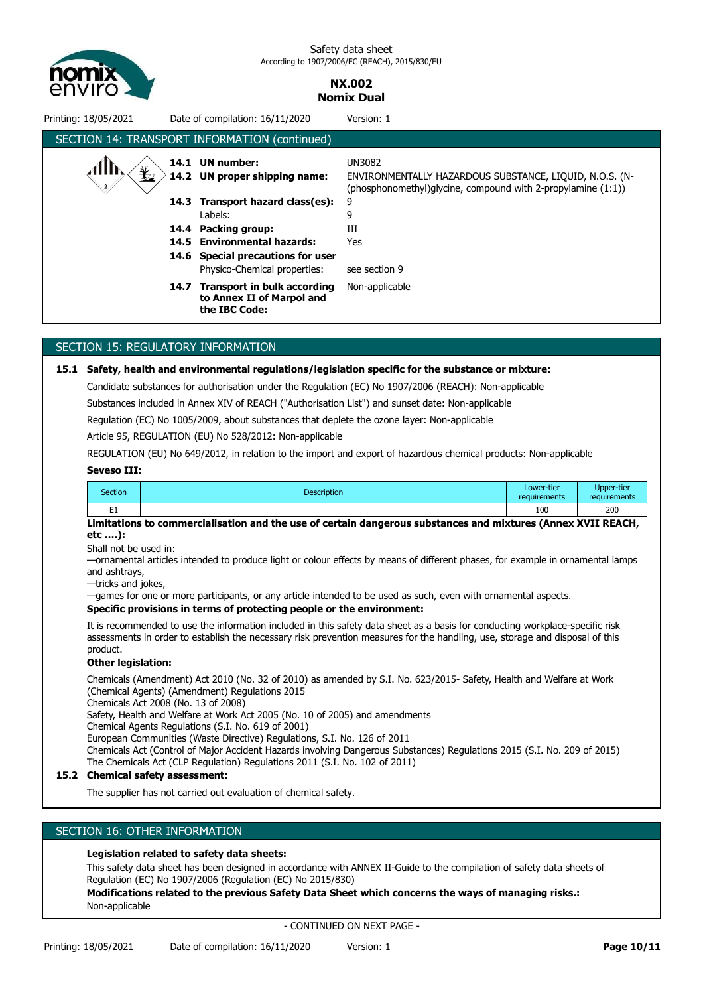

## **NX.002 Nomix Dual**

| Printing: 18/05/2021                                                                                                                                                                                              |      | Date of compilation: 16/11/2020                                                                                                                                   | Version: 1                                                                                                                        |  |  |
|-------------------------------------------------------------------------------------------------------------------------------------------------------------------------------------------------------------------|------|-------------------------------------------------------------------------------------------------------------------------------------------------------------------|-----------------------------------------------------------------------------------------------------------------------------------|--|--|
|                                                                                                                                                                                                                   |      | SECTION 14: TRANSPORT INFORMATION (continued)                                                                                                                     |                                                                                                                                   |  |  |
| I2                                                                                                                                                                                                                |      | 14.1 UN number:<br>14.2 UN proper shipping name:                                                                                                                  | UN3082<br>ENVIRONMENTALLY HAZARDOUS SUBSTANCE, LIQUID, N.O.S. (N-<br>(phosphonomethyl)glycine, compound with 2-propylamine (1:1)) |  |  |
|                                                                                                                                                                                                                   | 14.4 | 14.3 Transport hazard class(es):<br>Labels:<br>Packing group:<br>14.5 Environmental hazards:<br>14.6 Special precautions for user<br>Physico-Chemical properties: | 9<br>9<br>Ш<br>Yes<br>see section 9                                                                                               |  |  |
|                                                                                                                                                                                                                   | 14.7 | <b>Transport in bulk according</b><br>to Annex II of Marpol and<br>the IBC Code:                                                                                  | Non-applicable                                                                                                                    |  |  |
|                                                                                                                                                                                                                   |      |                                                                                                                                                                   |                                                                                                                                   |  |  |
| SECTION 15: REGULATORY INFORMATION                                                                                                                                                                                |      |                                                                                                                                                                   |                                                                                                                                   |  |  |
| Safety, health and environmental regulations/legislation specific for the substance or mixture:<br>15.1<br>Candidate echateness for subscription cooler the Beautation (FC) No. 1007/3000 (BEACU), New analizable |      |                                                                                                                                                                   |                                                                                                                                   |  |  |

Candidate substances for authorisation under the Regulation (EC) No 1907/2006 (REACH): Non-applicable

Substances included in Annex XIV of REACH ("Authorisation List") and sunset date: Non-applicable

Regulation (EC) No 1005/2009, about substances that deplete the ozone layer: Non-applicable

Article 95, REGULATION (EU) No 528/2012: Non-applicable

REGULATION (EU) No 649/2012, in relation to the import and export of hazardous chemical products: Non-applicable

#### **Seveso III:**

| Section | <b>Description</b> | Lower-tier<br>requirements | Upper-tier<br>requirements |
|---------|--------------------|----------------------------|----------------------------|
| -<br>-- |                    | 100                        | 200                        |

**Limitations to commercialisation and the use of certain dangerous substances and mixtures (Annex XVII REACH, etc ….):**

Shall not be used in:

—ornamental articles intended to produce light or colour effects by means of different phases, for example in ornamental lamps and ashtrays,

—tricks and jokes,

—games for one or more participants, or any article intended to be used as such, even with ornamental aspects.

#### **Specific provisions in terms of protecting people or the environment:**

It is recommended to use the information included in this safety data sheet as a basis for conducting workplace-specific risk assessments in order to establish the necessary risk prevention measures for the handling, use, storage and disposal of this product.

#### **Other legislation:**

Chemicals (Amendment) Act 2010 (No. 32 of 2010) as amended by S.I. No. 623/2015- Safety, Health and Welfare at Work (Chemical Agents) (Amendment) Regulations 2015

Chemicals Act 2008 (No. 13 of 2008)

Safety, Health and Welfare at Work Act 2005 (No. 10 of 2005) and amendments

Chemical Agents Regulations (S.I. No. 619 of 2001)

European Communities (Waste Directive) Regulations, S.I. No. 126 of 2011

Chemicals Act (Control of Major Accident Hazards involving Dangerous Substances) Regulations 2015 (S.I. No. 209 of 2015) The Chemicals Act (CLP Regulation) Regulations 2011 (S.I. No. 102 of 2011)

#### **15.2 Chemical safety assessment:**

The supplier has not carried out evaluation of chemical safety.

### SECTION 16: OTHER INFORMATION

#### **Legislation related to safety data sheets:**

This safety data sheet has been designed in accordance with ANNEX II-Guide to the compilation of safety data sheets of Regulation (EC) No 1907/2006 (Regulation (EC) No 2015/830)

**Modifications related to the previous Safety Data Sheet which concerns the ways of managing risks.:** Non-applicable